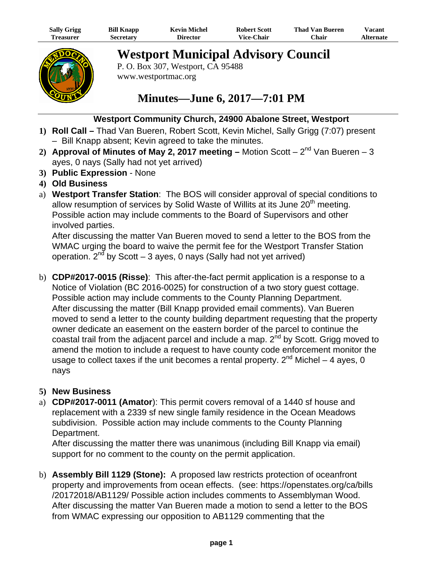| <b>Sally Grigg</b> | <b>Bill Knapp</b> | Kevin Michel | <b>Robert Scott</b> | Thad Van Bueren | Vacant    |
|--------------------|-------------------|--------------|---------------------|-----------------|-----------|
| reasurer)          | secretarv         | Director     | <b>Vice-Chair</b>   | $^n$ hair       | Alternate |



**Westport Municipal Advisory Council** 

P. O. Box 307, Westport, CA 95488 www.westportmac.org

## **Minutes—June 6, 2017—7:01 PM**

## **Westport Community Church, 24900 Abalone Street, Westport**

- **1) Roll Call** Thad Van Bueren, Robert Scott, Kevin Michel, Sally Grigg (7:07) present – Bill Knapp absent; Kevin agreed to take the minutes.
- 2) **Approval of Minutes of May 2, 2017 meeting Motion Scott**  $2^{nd}$  **Van Bueren 3** ayes, 0 nays (Sally had not yet arrived)
- **3) Public Expression**  None
- **4) Old Business**
- a) **Westport Transfer Station**: The BOS will consider approval of special conditions to allow resumption of services by Solid Waste of Willits at its June 20<sup>th</sup> meeting. Possible action may include comments to the Board of Supervisors and other involved parties.

After discussing the matter Van Bueren moved to send a letter to the BOS from the WMAC urging the board to waive the permit fee for the Westport Transfer Station operation.  $2^{nd}$  by Scott – 3 ayes, 0 nays (Sally had not yet arrived)

b) **CDP#2017-0015 (Risse)**: This after-the-fact permit application is a response to a Notice of Violation (BC 2016-0025) for construction of a two story guest cottage. Possible action may include comments to the County Planning Department. After discussing the matter (Bill Knapp provided email comments). Van Bueren moved to send a letter to the county building department requesting that the property owner dedicate an easement on the eastern border of the parcel to continue the coastal trail from the adjacent parcel and include a map.  $2<sup>nd</sup>$  by Scott. Grigg moved to amend the motion to include a request to have county code enforcement monitor the usage to collect taxes if the unit becomes a rental property.  $2^{nd}$  Michel – 4 ayes, 0 nays

## **5) New Business**

a) **CDP#2017-0011 (Amator**): This permit covers removal of a 1440 sf house and replacement with a 2339 sf new single family residence in the Ocean Meadows subdivision. Possible action may include comments to the County Planning Department.

After discussing the matter there was unanimous (including Bill Knapp via email) support for no comment to the county on the permit application.

b) **Assembly Bill 1129 (Stone):** A proposed law restricts protection of oceanfront property and improvements from ocean effects. (see: https://openstates.org/ca/bills /20172018/AB1129/ Possible action includes comments to Assemblyman Wood. After discussing the matter Van Bueren made a motion to send a letter to the BOS from WMAC expressing our opposition to AB1129 commenting that the